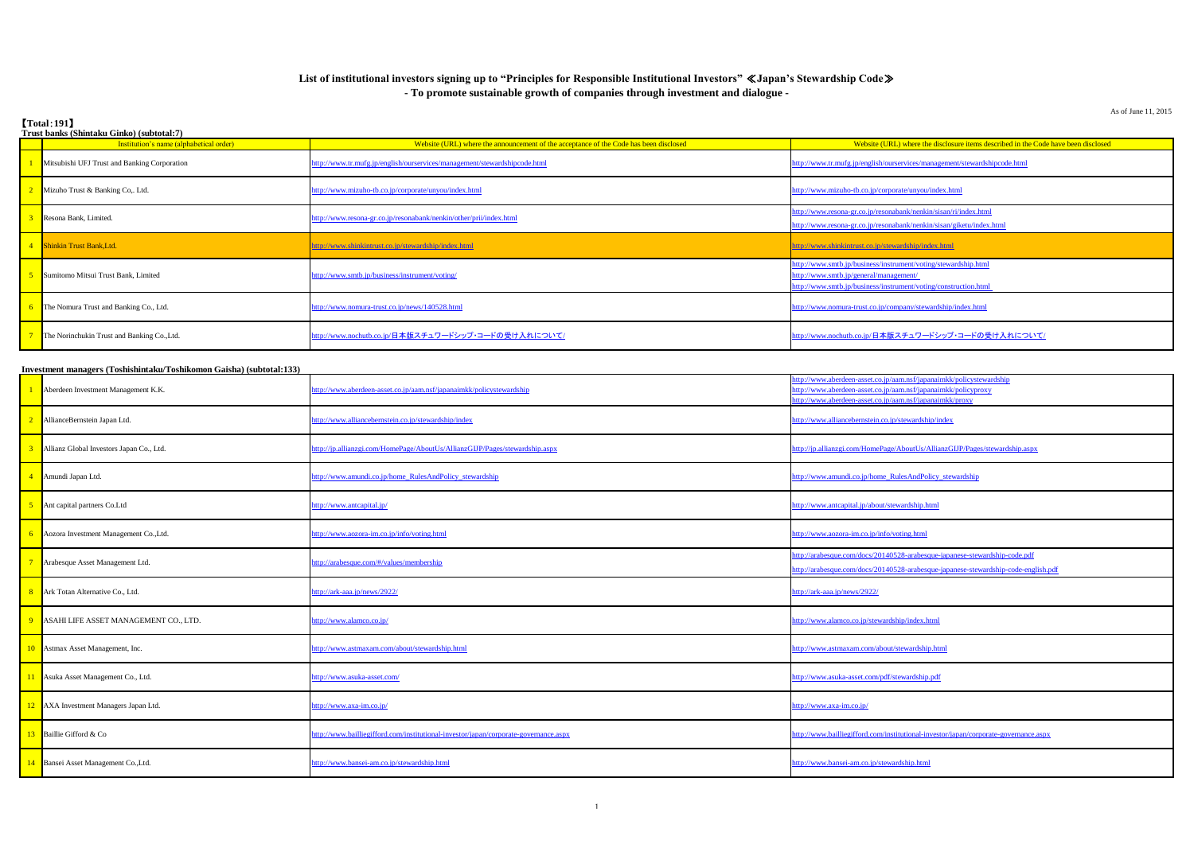As of June 11, 2015

# 【**Total**:**191**】

| Trust banks (Shintaku Ginko) (subtotal:7)                            |                                                                                       |                                                                                                                                                                                                                                                                                                       |  |  |
|----------------------------------------------------------------------|---------------------------------------------------------------------------------------|-------------------------------------------------------------------------------------------------------------------------------------------------------------------------------------------------------------------------------------------------------------------------------------------------------|--|--|
| Institution's name (alphabetical order)                              | Website (URL) where the announcement of the acceptance of the Code has been disclosed | Website (URL) where the disclosure items described in the Code have been disclosed                                                                                                                                                                                                                    |  |  |
| Mitsubishi UFJ Trust and Banking Corporation                         | http://www.tr.mufg.jp/english/ourservices/management/stewardshipcode.html             | ttp://www.tr.mufg.jp/english/ourservices/management/stewardshipcode.html                                                                                                                                                                                                                              |  |  |
| Mizuho Trust & Banking Co,. Ltd.                                     | ttp://www.mizuho-tb.co.jp/corporate/unyou/index.html                                  | ttp://www.mizuho-tb.co.jp/corporate/unyou/index.html                                                                                                                                                                                                                                                  |  |  |
| Resona Bank, Limited.                                                | ttp://www.resona-gr.co.jp/resonabank/nenkin/other/prii/index.html                     | tp://www.resona-gr.co.jp/resonabank/nenkin/sisan/ri/index.html<br>ttp://www.resona-gr.co.jp/resonabank/nenkin/sisan/giketu/index.html                                                                                                                                                                 |  |  |
| 4 Shinkin Trust Bank, Ltd.                                           | http://www.shinkintrust.co.jp/stewardship/index.html                                  | http://www.shinkintrust.co.jp/stewardship/index.html                                                                                                                                                                                                                                                  |  |  |
| Sumitomo Mitsui Trust Bank, Limited                                  | http://www.smtb.jp/business/instrument/voting/                                        | ttp://www.smtb.jp/business/instrument/voting/stewardship.html<br>ttp://www.smtb.jp/general/management/<br>ttp://www.smtb.jp/business/instrument/voting/construction.html                                                                                                                              |  |  |
| The Nomura Trust and Banking Co., Ltd.                               | ttp://www.nomura-trust.co.jp/news/140528.html                                         | ttp://www.nomura-trust.co.jp/company/stewardship/index.html                                                                                                                                                                                                                                           |  |  |
| The Norinchukin Trust and Banking Co., Ltd.                          | <u>ttp://www.nochutb.co.jp/日本版スチュワードシップ・コードの受け入れについて/</u>                             | <u>ttp://www.nochutb.co.jp/日本版スチュワードシップ・コードの受け入れについて/</u>                                                                                                                                                                                                                                             |  |  |
| Investment managers (Toshishintaku/Toshikomon Gaisha) (subtotal:133) |                                                                                       |                                                                                                                                                                                                                                                                                                       |  |  |
|                                                                      |                                                                                       | $\frac{f(n)}{x^n}$ aberdeen-asset co $\frac{f(n)}{2}$ in $\frac{f(n)}{2}$ in $\frac{f(n)}{2}$ in $\frac{f(n)}{2}$ in $\frac{f(n)}{2}$ in $\frac{f(n)}{2}$ in $\frac{f(n)}{2}$ in $\frac{f(n)}{2}$ in $\frac{f(n)}{2}$ in $\frac{f(n)}{2}$ in $\frac{f(n)}{2}$ in $\frac{f(n)}{2}$ in $\frac{f(n)}{2}$ |  |  |

| Aberdeen Investment Management K.K.      | птолики пападля розпятнами гозничной бавна (важнайном)<br>ttp://www.aberdeen-asset.co.jp/aam.nsf/japanaimkk/policystewardship | ttp://www.aberdeen-asset.co.jp/aam.nsf/japanaimkk/policystewardship<br>ttp://www.aberdeen-asset.co.jp/aam.nsf/japanaimkk/policyproxy<br>ttp://www.aberdeen-asset.co.jp/aam.nsf/japanaimkk/proxy |
|------------------------------------------|-------------------------------------------------------------------------------------------------------------------------------|-------------------------------------------------------------------------------------------------------------------------------------------------------------------------------------------------|
| AllianceBernstein Japan Ltd.             | http://www.alliancebernstein.co.jp/stewardship/index                                                                          | ttp://www.alliancebernstein.co.jp/stewardship/index                                                                                                                                             |
| Allianz Global Investors Japan Co., Ltd. | http://jp.allianzgi.com/HomePage/AboutUs/AllianzGIJP/Pages/stewardship.aspx                                                   | http://jp.allianzgi.com/HomePage/AboutUs/AllianzGIJP/Pages/stewardship.aspx                                                                                                                     |
| Amundi Japan Ltd.                        | ttp://www.amundi.co.jp/home_RulesAndPolicy_stewardship                                                                        | ttp://www.amundi.co.jp/home_RulesAndPolicy_stewardship                                                                                                                                          |
| Ant capital partners Co.Ltd              | http://www.antcapital.jp/                                                                                                     | ttp://www.antcapital.jp/about/stewardship.html                                                                                                                                                  |
| Aozora Investment Management Co., Ltd.   | ttp://www.aozora-im.co.jp/info/voting.html                                                                                    | ttp://www.aozora-im.co.jp/info/voting.html                                                                                                                                                      |
| Arabesque Asset Management Ltd.          | nttp://arabesque.com/#/values/membership                                                                                      | ttp://arabesque.com/docs/20140528-arabesque-japanese-stewardship-code.pdf<br>http://arabesque.com/docs/20140528-arabesque-japanese-stewardship-code-english.pdf                                 |
| Ark Totan Alternative Co., Ltd.          | http://ark-aaa.jp/news/2922/                                                                                                  | http://ark-aaa.jp/news/2922/                                                                                                                                                                    |
| ASAHI LIFE ASSET MANAGEMENT CO., LTD.    | http://www.alamco.co.jp/                                                                                                      | ttp://www.alamco.co.jp/stewardship/index.html                                                                                                                                                   |
| Astmax Asset Management, Inc.            | http://www.astmaxam.com/about/stewardship.html                                                                                | http://www.astmaxam.com/about/stewardship.html                                                                                                                                                  |
| Asuka Asset Management Co., Ltd.         | http://www.asuka-asset.com/                                                                                                   | ttp://www.asuka-asset.com/pdf/stewardship.pdf                                                                                                                                                   |
| AXA Investment Managers Japan Ltd.       | <u>nttp://www.axa-im.co.jp/</u>                                                                                               | <u>tttp://www.axa-im.co.jp/</u>                                                                                                                                                                 |
| Baillie Gifford & Co                     | http://www.bailliegifford.com/institutional-investor/japan/corporate-governance.aspx                                          | ttp://www.bailliegifford.com/institutional-investor/japan/corporate-governance.aspx                                                                                                             |
| Bansei Asset Management Co., Ltd.        | http://www.bansei-am.co.jp/stewardship.html                                                                                   | ttp://www.bansei-am.co.jp/stewardship.html                                                                                                                                                      |

## **List of institutional investors signing up to "Principles for Responsible Institutional Investors"** ≪**Japan's Stewardship Code**≫ **- To promote sustainable growth of companies through investment and dialogue -**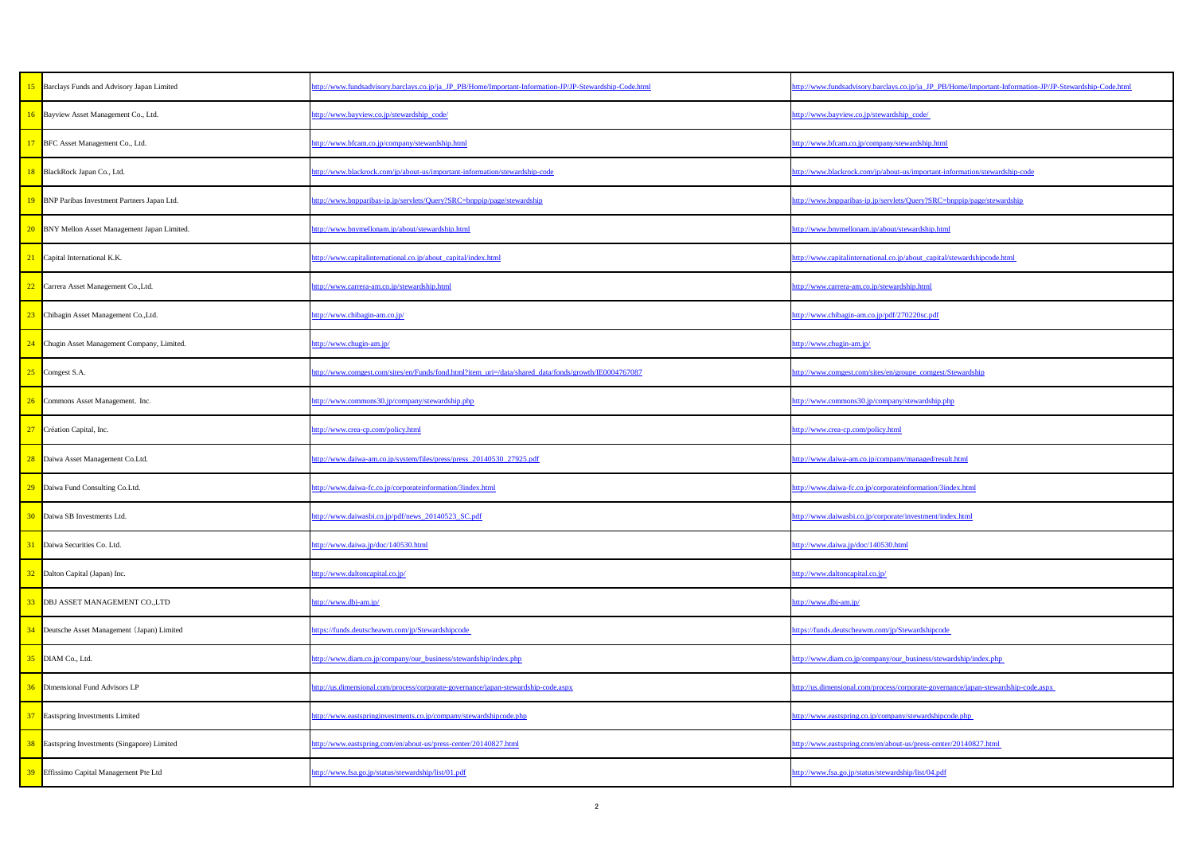| http://www.fundsadvisory.barclays.co.jp/ja_JP_PB/Home/Important-Information-JP/JP-Stewardship-Code.html | http://www.fundsadvisory.barclays.co.jp/ja_JP_PB/Home/Important-Information-JP/JP-Stewardship-Code.html |
|---------------------------------------------------------------------------------------------------------|---------------------------------------------------------------------------------------------------------|
| nttp://www.bayview.co.jp/stewardship_code/                                                              | http://www.bayview.co.jp/stewardship_code/                                                              |
| http://www.bfcam.co.jp/company/stewardship.html                                                         | http://www.bfcam.co.jp/company/stewardship.html                                                         |
| http://www.blackrock.com/jp/about-us/important-information/stewardship-code                             | http://www.blackrock.com/jp/about-us/important-information/stewardship-code                             |
| http://www.bnpparibas-ip.jp/servlets/Query?SRC=bnppip/page/stewardship                                  | http://www.bnpparibas-ip.jp/servlets/Query?SRC=bnppip/page/stewardship                                  |
| http://www.bnymellonam.jp/about/stewardship.html                                                        | http://www.bnymellonam.jp/about/stewardship.html                                                        |
| http://www.capitalinternational.co.jp/about_capital/index.html                                          | http://www.capitalinternational.co.jp/about_capital/stewardshipcode.html                                |
| http://www.carrera-am.co.jp/stewardship.html                                                            | http://www.carrera-am.co.jp/stewardship.html                                                            |
| http://www.chibagin-am.co.jp/                                                                           | http://www.chibagin-am.co.jp/pdf/270220sc.pdf                                                           |
| http://www.chugin-am.jp/                                                                                | http://www.chugin-am.jp/                                                                                |
| nttp://www.comgest.com/sites/en/Funds/fond.html?item_uri=/data/shared_data/fonds/growth/IE0004767087    | http://www.comgest.com/sites/en/groupe_comgest/Stewardship                                              |
| http://www.commons30.jp/company/stewardship.php                                                         | http://www.commons30.jp/company/stewardship.php                                                         |
| nttp://www.crea-cp.com/policy.html                                                                      | http://www.crea-cp.com/policy.html                                                                      |
| nttp://www.daiwa-am.co.jp/system/files/press/press_20140530_27925.pdf                                   | http://www.daiwa-am.co.jp/company/managed/result.html                                                   |
| http://www.daiwa-fc.co.jp/corporateinformation/3index.html                                              | http://www.daiwa-fc.co.jp/corporateinformation/3index.html                                              |
| http://www.daiwasbi.co.jp/pdf/news_20140523_SC.pdf                                                      | http://www.daiwasbi.co.jp/corporate/investment/index.html                                               |
| http://www.daiwa.jp/doc/140530.html                                                                     | http://www.daiwa.jp/doc/140530.html                                                                     |
| http://www.daltoncapital.co.jp/                                                                         | http://www.daltoncapital.co.jp/                                                                         |
| http://www.dbj-am.jp/                                                                                   | http://www.dbj-am.jp/                                                                                   |
| nttps://funds.deutscheawm.com/jp/Stewardshipcode                                                        | https://funds.deutscheawm.com/jp/Stewardshipcode                                                        |
| http://www.diam.co.jp/company/our_business/stewardship/index.php                                        | http://www.diam.co.jp/company/our_business/stewardship/index.php                                        |
| nttp://us.dimensional.com/process/corporate-governance/japan-stewardship-code.aspx                      | http://us.dimensional.com/process/corporate-governance/japan-stewardship-code.aspx                      |
| http://www.eastspringinvestments.co.jp/company/stewardshipcode.php                                      | http://www.eastspring.co.jp/company/stewardshipcode.php                                                 |
| http://www.eastspring.com/en/about-us/press-center/20140827.html                                        | http://www.eastspring.com/en/about-us/press-center/20140827.html                                        |
| http://www.fsa.go.jp/status/stewardship/list/01.pdf                                                     | http://www.fsa.go.jp/status/stewardship/list/04.pdf                                                     |
|                                                                                                         |                                                                                                         |

| ode.html | http://www.fundsadvisory.barclays.co.jp/ja_JP_PB/Home/Important-Information-JP/JP-Stewardship-Code.html |
|----------|---------------------------------------------------------------------------------------------------------|
|          | http://www.bayview.co.jp/stewardship_code/                                                              |
|          | http://www.bfcam.co.jp/company/stewardship.html                                                         |
|          | http://www.blackrock.com/jp/about-us/important-information/stewardship-code                             |
|          | http://www.bnpparibas-ip.jp/servlets/Query?SRC=bnppip/page/stewardship                                  |
|          | http://www.bnymellonam.jp/about/stewardship.html                                                        |
|          | http://www.capitalinternational.co.jp/about_capital/stewardshipcode.html                                |
|          | http://www.carrera-am.co.jp/stewardship.html                                                            |
|          | http://www.chibagin-am.co.jp/pdf/270220sc.pdf                                                           |
|          | http://www.chugin-am.jp/                                                                                |
| 57087    | http://www.comgest.com/sites/en/groupe_comgest/Stewardship                                              |
|          | http://www.commons30.jp/company/stewardship.php                                                         |
|          | http://www.crea-cp.com/policy.html                                                                      |
|          | http://www.daiwa-am.co.jp/company/managed/result.html                                                   |
|          | http://www.daiwa-fc.co.jp/corporateinformation/3index.html                                              |
|          | http://www.daiwasbi.co.jp/corporate/investment/index.html                                               |
|          | http://www.daiwa.jp/doc/140530.html                                                                     |
|          | http://www.daltoncapital.co.jp/                                                                         |
|          | http://www.dbj-am.jp/                                                                                   |
|          | https://funds.deutscheawm.com/jp/Stewardshipcode                                                        |
|          | http://www.diam.co.jp/company/our_business/stewardship/index.php                                        |
|          | http://us.dimensional.com/process/corporate-governance/japan-stewardship-code.aspx                      |
|          | http://www.eastspring.co.jp/company/stewardshipcode.php                                                 |
|          | http://www.eastspring.com/en/about-us/press-center/20140827.html                                        |
|          | http://www.fsa.go.jp/status/stewardship/list/04.pdf                                                     |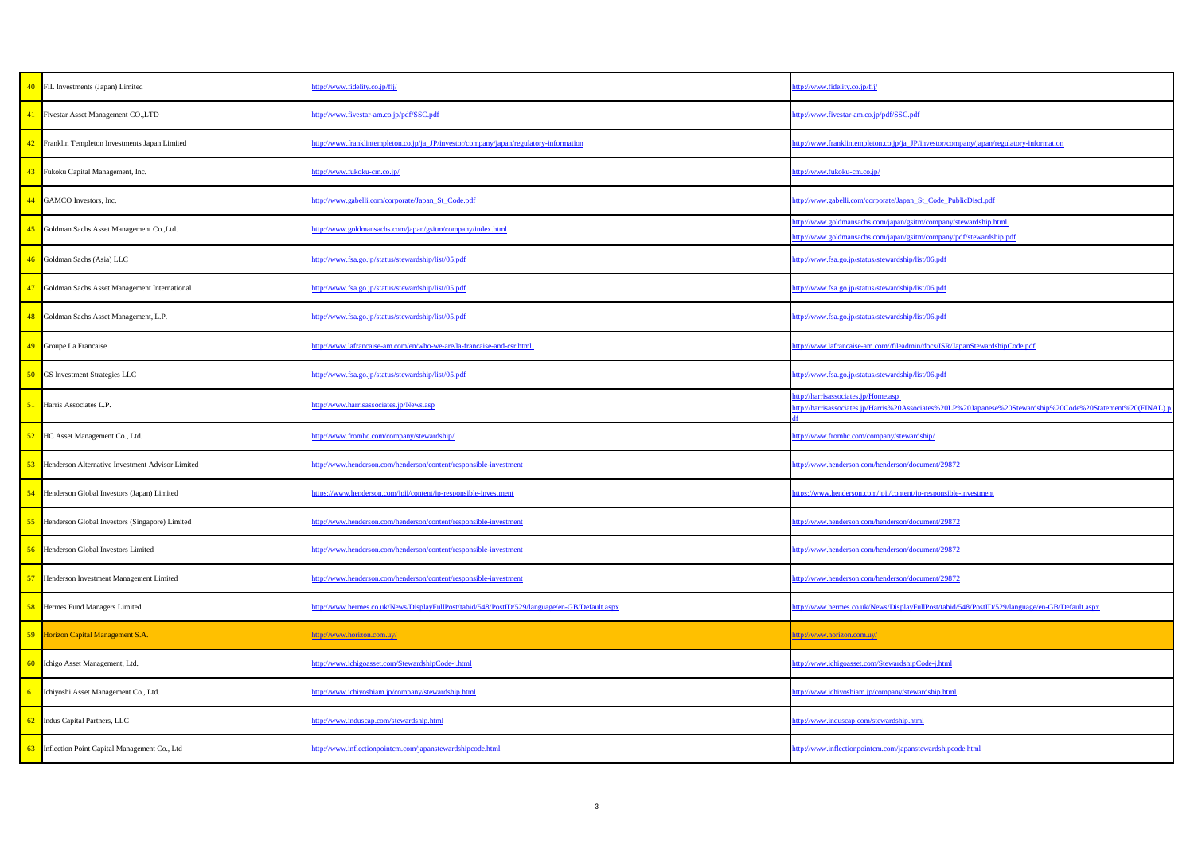| http://www.fidelity.co.jp/fij/                                                                                                                           |
|----------------------------------------------------------------------------------------------------------------------------------------------------------|
| http://www.fivestar-am.co.jp/pdf/SSC.pdf                                                                                                                 |
| http://www.franklintempleton.co.jp/ja_JP/investor/company/japan/regulatory-information                                                                   |
| http://www.fukoku-cm.co.jp/                                                                                                                              |
| http://www.gabelli.com/corporate/Japan_St_Code_PublicDiscl.pdf                                                                                           |
| http://www.goldmansachs.com/japan/gsitm/company/stewardship.html<br>http://www.goldmansachs.com/japan/gsitm/company/pdf/stewardship.pdf                  |
| http://www.fsa.go.jp/status/stewardship/list/06.pdf                                                                                                      |
| http://www.fsa.go.jp/status/stewardship/list/06.pdf                                                                                                      |
| http://www.fsa.go.jp/status/stewardship/list/06.pdf                                                                                                      |
| http://www.lafrancaise-am.com//fileadmin/docs/ISR/JapanStewardshipCode.pdf                                                                               |
| http://www.fsa.go.jp/status/stewardship/list/06.pdf                                                                                                      |
| http://harrisassociates.jp/Home.asp<br>http://harrisassociates.jp/Harris%20Associates%20LP%20Japanese%20Stewardship%20Code%20Statement%20(FINAL).p<br>df |
| http://www.fromhc.com/company/stewardship/                                                                                                               |
| http://www.henderson.com/henderson/document/29872                                                                                                        |
| https://www.henderson.com/jpii/content/jp-responsible-investment                                                                                         |
| http://www.henderson.com/henderson/document/29872                                                                                                        |
| http://www.henderson.com/henderson/document/29872                                                                                                        |
| http://www.henderson.com/henderson/document/29872                                                                                                        |
| http://www.hermes.co.uk/News/DisplayFullPost/tabid/548/PostID/529/language/en-GB/Default.aspx                                                            |
| http://www.horizon.com.uy/                                                                                                                               |
| http://www.ichigoasset.com/StewardshipCode-j.html                                                                                                        |
| http://www.ichiyoshiam.jp/company/stewardship.html                                                                                                       |
| http://www.induscap.com/stewardship.html                                                                                                                 |
| http://www.inflectionpointcm.com/japanstewardshipcode.html                                                                                               |

|                 | 40 FIL Investments (Japan) Limited                         | ttp://www.fidelity.co.jp/fij/                                                                | http://www.fidelity.co.jp/fij/                                                                                                          |
|-----------------|------------------------------------------------------------|----------------------------------------------------------------------------------------------|-----------------------------------------------------------------------------------------------------------------------------------------|
| 41              | <b>Fivestar Asset Management CO.,LTD</b>                   | http://www.fivestar-am.co.jp/pdf/SSC.pdf                                                     | http://www.fivestar-am.co.jp/pdf/SSC.pdf                                                                                                |
|                 | 42 Franklin Templeton Investments Japan Limited            | ttp://www.franklintempleton.co.jp/ja_JP/investor/company/japan/regulatory-information        | http://www.franklintempleton.co.jp/ja_JP/investor/company/japan/regulatory-information                                                  |
|                 | 43 Fukoku Capital Management, Inc.                         | http://www.fukoku-cm.co.jp/                                                                  | http://www.fukoku-cm.co.jp/                                                                                                             |
|                 | 44 GAMCO Investors, Inc.                                   | http://www.gabelli.com/corporate/Japan_St_Code.pdf                                           | http://www.gabelli.com/corporate/Japan_St_Code_PublicDiscl.pdf                                                                          |
|                 | 45 Goldman Sachs Asset Management Co., Ltd.                | http://www.goldmansachs.com/japan/gsitm/company/index.html                                   | http://www.goldmansachs.com/japan/gsitm/company/stewardship.html<br>http://www.goldmansachs.com/japan/gsitm/company/pdf/stewardship.pdf |
|                 | 46 Goldman Sachs (Asia) LLC                                | ttp://www.fsa.go.jp/status/stewardship/list/05.pdf                                           | http://www.fsa.go.jp/status/stewardship/list/06.pdf                                                                                     |
|                 | 47 Goldman Sachs Asset Management International            | http://www.fsa.go.jp/status/stewardship/list/05.pdf                                          | nttp://www.fsa.go.jp/status/stewardship/list/06.pdf                                                                                     |
|                 | 48 Goldman Sachs Asset Management, L.P.                    | http://www.fsa.go.jp/status/stewardship/list/05.pdf                                          | nttp://www.fsa.go.jp/status/stewardship/list/06.pdf                                                                                     |
|                 | 49 Groupe La Francaise                                     | http://www.lafrancaise-am.com/en/who-we-are/la-francaise-and-csr.html                        | http://www.lafrancaise-am.com//fileadmin/docs/ISR/JapanStewardshipCode.pdf                                                              |
|                 | 50 GS Investment Strategies LLC                            | http://www.fsa.go.jp/status/stewardship/list/05.pdf                                          | http://www.fsa.go.jp/status/stewardship/list/06.pdf                                                                                     |
|                 | Harris Associates L.P.                                     | ttp://www.harrisassociates.jp/News.asp                                                       | <u>uttp://harrisassociates.jp/Home.asp</u><br>dttp://harrisassociates.jp/Harris%20Associates%20LP%20Japanese%20Stewardship%20Code%20S   |
|                 |                                                            |                                                                                              |                                                                                                                                         |
| 52 <sub>1</sub> | HC Asset Management Co., Ltd.                              | ttp://www.fromhc.com/company/stewardship/                                                    | http://www.fromhc.com/company/stewardship/                                                                                              |
|                 | <b>53</b> Henderson Alternative Investment Advisor Limited | ttp://www.henderson.com/henderson/content/responsible-investment                             | ttp://www.henderson.com/henderson/document/29872                                                                                        |
|                 | 54 Henderson Global Investors (Japan) Limited              | ttps://www.henderson.com/jpii/content/jp-responsible-investment                              | https://www.henderson.com/jpii/content/jp-responsible-investment                                                                        |
|                 | Henderson Global Investors (Singapore) Limited             | ttp://www.henderson.com/henderson/content/responsible-investment                             | http://www.henderson.com/henderson/document/29872                                                                                       |
|                 | 56 Henderson Global Investors Limited                      | http://www.henderson.com/henderson/content/responsible-investment                            | http://www.henderson.com/henderson/document/29872                                                                                       |
| 57              | Henderson Investment Management Limited                    | ttp://www.henderson.com/henderson/content/responsible-investment                             | http://www.henderson.com/henderson/document/29872                                                                                       |
|                 | Hermes Fund Managers Limited                               | ttp://www.hermes.co.uk/News/DisplayFullPost/tabid/548/PostID/529/language/en-GB/Default.aspx | http://www.hermes.co.uk/News/DisplayFullPost/tabid/548/PostID/529/language/en-GB/Default.aspx                                           |
|                 | 59 Horizon Capital Management S.A.                         | http://www.horizon.com.uy/                                                                   | http://www.horizon.com.uy/                                                                                                              |
|                 | 60 Ichigo Asset Management, Ltd.                           | ttp://www.ichigoasset.com/StewardshipCode-j.html                                             | tttp://www.ichigoasset.com/StewardshipCode-j.html                                                                                       |
|                 | 61 Ichiyoshi Asset Management Co., Ltd.                    | http://www.ichiyoshiam.jp/company/stewardship.html                                           | http://www.ichiyoshiam.jp/company/stewardship.html                                                                                      |
|                 | 62 Indus Capital Partners, LLC                             | http://www.induscap.com/stewardship.html                                                     | http://www.induscap.com/stewardship.html                                                                                                |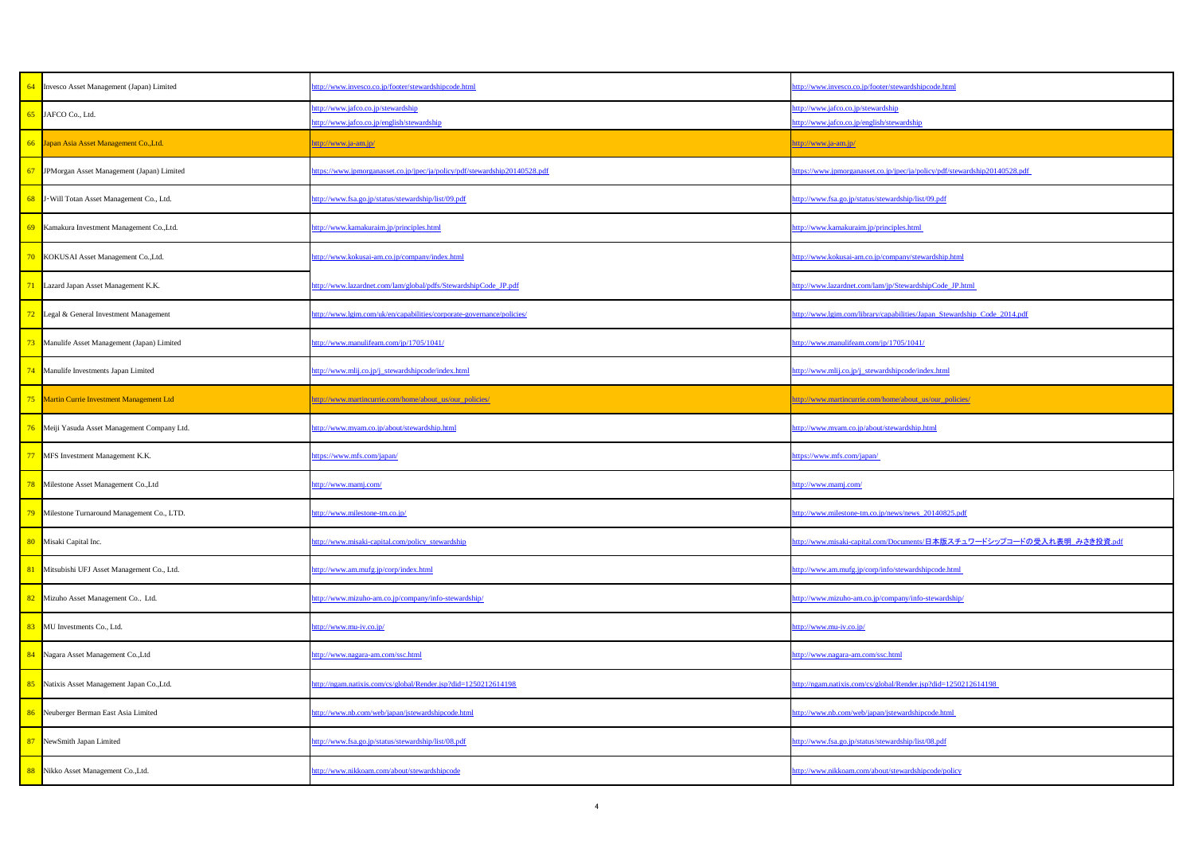|                | http://www.invesco.co.jp/footer/stewardshipcode.html                             |
|----------------|----------------------------------------------------------------------------------|
|                | http://www.jafco.co.jp/stewardship<br>http://www.jafco.co.jp/english/stewardship |
|                | http://www.ja-am.jp/                                                             |
| 0140528.pdf    | https://www.jpmorganasset.co.jp/jpec/ja/policy/pdf/stewardship20140528.pdf       |
|                | http://www.fsa.go.jp/status/stewardship/list/09.pdf                              |
|                | http://www.kamakuraim.jp/principles.html                                         |
|                | http://www.kokusai-am.co.jp/company/stewardship.html                             |
| <u>pdf</u>     | http://www.lazardnet.com/lam/jp/StewardshipCode_JP.html                          |
| licies/        | http://www.lgim.com/library/capabilities/Japan_Stewardship_Code_2014.pdf         |
|                | http://www.manulifeam.com/jp/1705/1041/                                          |
|                | http://www.mlij.co.jp/j_stewardshipcode/index.html                               |
|                | http://www.martincurrie.com/home/about_us/our_policies/                          |
|                | http://www.myam.co.jp/about/stewardship.html                                     |
|                | https://www.mfs.com/japan/                                                       |
|                | http://www.mamj.com/                                                             |
|                | http://www.milestone-tm.co.jp/news/news 20140825.pdf                             |
|                | http://www.misaki-capital.com/Documents/日本版スチュワードシップコードの受入れ表明 みさき投資.pdf          |
|                | http://www.am.mufg.jp/corp/info/stewardshipcode.html                             |
|                | http://www.mizuho-am.co.jp/company/info-stewardship/                             |
|                | http://www.mu-iv.co.jp/                                                          |
|                | http://www.nagara-am.com/ssc.html                                                |
| $\frac{98}{2}$ | http://ngam.natixis.com/cs/global/Render.jsp?did=1250212614198                   |
|                | http://www.nb.com/web/japan/jstewardshipcode.html                                |
|                | http://www.fsa.go.jp/status/stewardship/list/08.pdf                              |
|                | http://www.nikkoam.com/about/stewardshipcode/policy                              |
|                |                                                                                  |

| 64<br>Invesco Asset Management (Japan) Limited  | http://www.invesco.co.jp/footer/stewardshipcode.html                             | http://www.invesco.co.jp/footer/stewardshipcode.html                             |
|-------------------------------------------------|----------------------------------------------------------------------------------|----------------------------------------------------------------------------------|
| JAFCO Co., Ltd.<br>65                           | http://www.jafco.co.jp/stewardship<br>http://www.jafco.co.jp/english/stewardship | http://www.jafco.co.jp/stewardship<br>http://www.jafco.co.jp/english/stewardship |
| 66 Japan Asia Asset Management Co., Ltd.        | <u>http://www.ja-am.jp/</u>                                                      | http://www.ja-am.jp/                                                             |
| JPMorgan Asset Management (Japan) Limited<br>67 | https://www.jpmorganasset.co.jp/jpec/ja/policy/pdf/stewardship20140528.pdf       | https://www.jpmorganasset.co.jp/jpec/ja/policy/pdf/stewardship20140528.pdf       |
| J . Will Totan Asset Management Co., Ltd.<br>68 | http://www.fsa.go.jp/status/stewardship/list/09.pdf                              | http://www.fsa.go.jp/status/stewardship/list/09.pdf                              |
| 69 Kamakura Investment Management Co., Ltd.     | http://www.kamakuraim.jp/principles.html                                         | http://www.kamakuraim.jp/principles.html                                         |
| KOKUSAI Asset Management Co., Ltd.              | http://www.kokusai-am.co.jp/company/index.html                                   | http://www.kokusai-am.co.jp/company/stewardship.html                             |
| 71<br>Lazard Japan Asset Management K.K.        | http://www.lazardnet.com/lam/global/pdfs/StewardshipCode_JP.pdf                  | http://www.lazardnet.com/lam/jp/StewardshipCode_JP.html                          |
| 72<br>Legal & General Investment Management     | http://www.lgim.com/uk/en/capabilities/corporate-governance/policies/            | http://www.lgim.com/library/capabilities/Japan_Stewardship_Code_2014.pdf         |
| 73 Manulife Asset Management (Japan) Limited    | http://www.manulifeam.com/jp/1705/1041/                                          | http://www.manulifeam.com/jp/1705/1041/                                          |
| 74 Manulife Investments Japan Limited           | http://www.mlij.co.jp/j_stewardshipcode/index.html                               | http://www.mlij.co.jp/j_stewardshipcode/index.html                               |
| 75 Martin Currie Investment Management Ltd      | http://www.martincurrie.com/home/about_us/our_policies/                          | http://www.martincurrie.com/home/about_us/our_policies/                          |
| 76 Meiji Yasuda Asset Management Company Ltd.   | http://www.myam.co.jp/about/stewardship.html                                     | http://www.myam.co.jp/about/stewardship.html                                     |
| 77<br>MFS Investment Management K.K.            | https://www.mfs.com/japan/                                                       | https://www.mfs.com/japan/                                                       |
| 78<br>Milestone Asset Management Co., Ltd       | http://www.mamj.com/                                                             | http://www.mamj.com/                                                             |
| 79 Milestone Turnaround Management Co., LTD.    | http://www.milestone-tm.co.jp/                                                   | http://www.milestone-tm.co.jp/news/news 20140825.pdf                             |
| 80 Misaki Capital Inc.                          | http://www.misaki-capital.com/policy_stewardship                                 | http://www.misaki-capital.com/Documents/日本版スチュワードシップコードの受入れ表明 みさき投資.pdf          |
| Mitsubishi UFJ Asset Management Co., Ltd.<br>81 | http://www.am.mufg.jp/corp/index.html                                            | http://www.am.mufg.jp/corp/info/stewardshipcode.html                             |
| Mizuho Asset Management Co., Ltd.<br>82         | http://www.mizuho-am.co.jp/company/info-stewardship/                             | http://www.mizuho-am.co.jp/company/info-stewardship/                             |
| 83<br>MU Investments Co., Ltd.                  | http://www.mu-iv.co.jp/                                                          | http://www.mu-iv.co.jp/                                                          |
| 84<br>Nagara Asset Management Co., Ltd          | http://www.nagara-am.com/ssc.html                                                | http://www.nagara-am.com/ssc.htm                                                 |
| 85<br>Natixis Asset Management Japan Co., Ltd.  | http://ngam.natixis.com/cs/global/Render.jsp?did=1250212614198                   | http://ngam.natixis.com/cs/global/Render.jsp?did=1250212614198                   |
| 86<br>Neuberger Berman East Asia Limited        | http://www.nb.com/web/japan/jstewardshipcode.html                                | http://www.nb.com/web/japan/jstewardshipcode.html                                |
| 87<br>NewSmith Japan Limited                    | http://www.fsa.go.jp/status/stewardship/list/08.pdf                              | http://www.fsa.go.jp/status/stewardship/list/08.pdf                              |
| Nikko Asset Management Co., Ltd.<br>88          | http://www.nikkoam.com/about/stewardshipcode                                     | http://www.nikkoam.com/about/stewardshipcode/policy                              |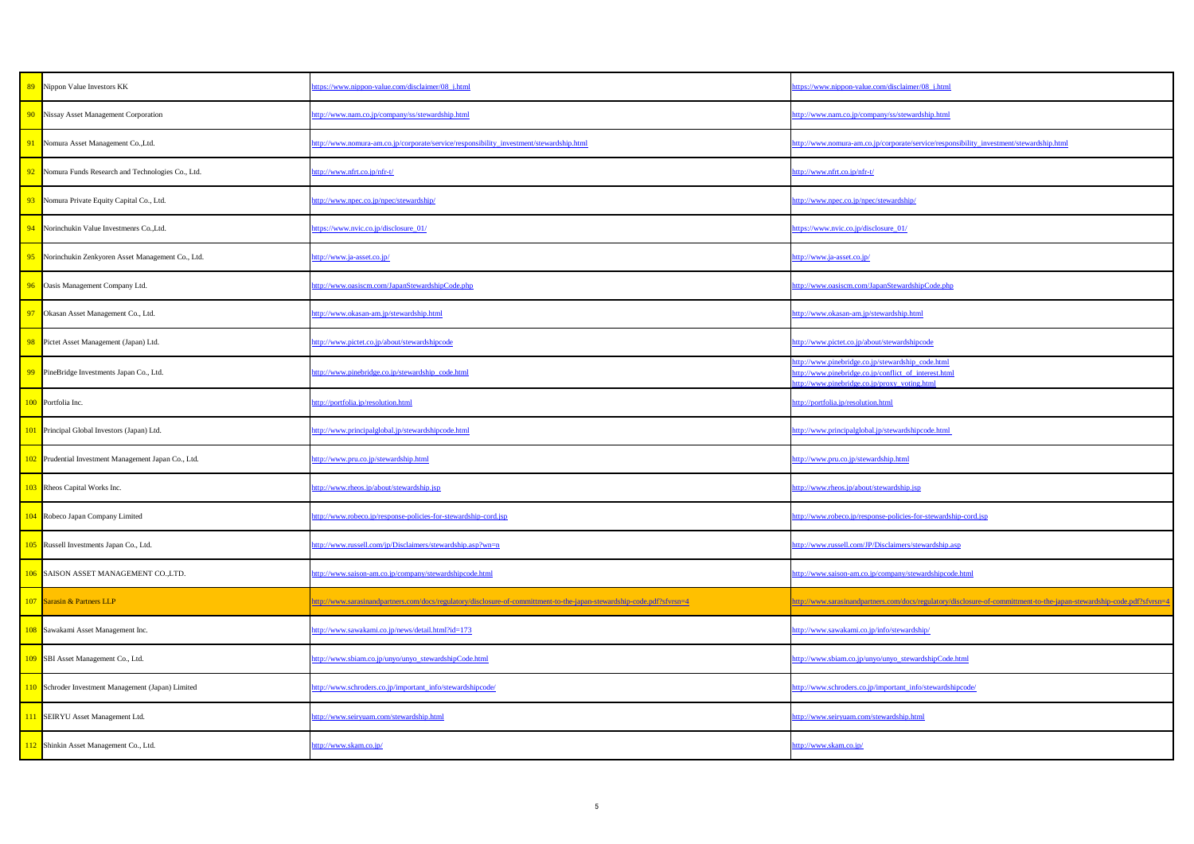| 89 Nippon Value Investors KK                         | ttps://www.nippon-value.com/disclaimer/08_j.html                                                                       | https://www.nippon-value.com/disclaimer/08_j.html                                                                                                          |
|------------------------------------------------------|------------------------------------------------------------------------------------------------------------------------|------------------------------------------------------------------------------------------------------------------------------------------------------------|
| 90 Nissay Asset Management Corporation               | ttp://www.nam.co.jp/company/ss/stewardship.html                                                                        | http://www.nam.co.jp/company/ss/stewardship.html                                                                                                           |
| Nomura Asset Management Co., Ltd.                    | ttp://www.nomura-am.co.jp/corporate/service/responsibility_investment/stewardship.html                                 | ttp://www.nomura-am.co.jp/corporate/service/responsibility_investment/stewardship.html                                                                     |
| Nomura Funds Research and Technologies Co., Ltd.     | ttp://www.nfrt.co.jp/nfr-t/                                                                                            | http://www.nfrt.co.jp/nfr-t/                                                                                                                               |
| 93 Nomura Private Equity Capital Co., Ltd.           | ttp://www.npec.co.jp/npec/stewardship/                                                                                 | http://www.npec.co.jp/npec/stewardship/                                                                                                                    |
| 94 Norinchukin Value Investmenrs Co., Ltd.           | https://www.nvic.co.jp/disclosure_01/                                                                                  | https://www.nvic.co.jp/disclosure_01/                                                                                                                      |
| 95 Norinchukin Zenkyoren Asset Management Co., Ltd.  | <u>tttp://www.ja-asset.co.jp/</u>                                                                                      | http://www.ja-asset.co.jp/                                                                                                                                 |
| 96 Oasis Management Company Ltd.                     | ttp://www.oasiscm.com/JapanStewardshipCode.php                                                                         | http://www.oasiscm.com/JapanStewardshipCode.php                                                                                                            |
| Okasan Asset Management Co., Ltd.                    | ttp://www.okasan-am.jp/stewardship.html                                                                                | http://www.okasan-am.jp/stewardship.html                                                                                                                   |
| 98 Pictet Asset Management (Japan) Ltd.              | ttp://www.pictet.co.jp/about/stewardshipcode                                                                           | http://www.pictet.co.jp/about/stewardshipcode                                                                                                              |
| 99 PineBridge Investments Japan Co., Ltd.            | ttp://www.pinebridge.co.jp/stewardship_code.html                                                                       | ttp://www.pinebridge.co.jp/stewardship_code.html<br>http://www.pinebridge.co.jp/conflict_of_interest.html<br>http://www.pinebridge.co.jp/proxy_voting.html |
| 100 Portfolia Inc.                                   | nttp://portfolia.jp/resolution.html                                                                                    | http://portfolia.jp/resolution.html                                                                                                                        |
| 101 Principal Global Investors (Japan) Ltd.          | ttp://www.principalglobal.jp/stewardshipcode.html                                                                      | http://www.principalglobal.jp/stewardshipcode.html                                                                                                         |
| 102 Prudential Investment Management Japan Co., Ltd. | ttp://www.pru.co.jp/stewardship.html                                                                                   | http://www.pru.co.jp/stewardship.html                                                                                                                      |
| 103 Rheos Capital Works Inc.                         | ttp://www.rheos.jp/about/stewardship.jsp                                                                               | http://www.rheos.jp/about/stewardship.jsp                                                                                                                  |
| 104 Robeco Japan Company Limited                     | ttp://www.robeco.jp/response-policies-for-stewardship-cord.jsp                                                         | http://www.robeco.jp/response-policies-for-stewardship-cord.jsp                                                                                            |
| 105 Russell Investments Japan Co., Ltd.              | ttp://www.russell.com/jp/Disclaimers/stewardship.asp?wn=n                                                              | http://www.russell.com/JP/Disclaimers/stewardship.asp                                                                                                      |
| 106 SAISON ASSET MANAGEMENT CO.,LTD.                 | ttp://www.saison-am.co.jp/company/stewardshipcode.html                                                                 | http://www.saison-am.co.jp/company/stewardshipcode.html                                                                                                    |
| 107 Sarasin & Partners LLP                           | http://www.sarasinandpartners.com/docs/regulatory/disclosure-of-committment-to-the-japan-stewardship-code.pdf?sfvrsn=4 | http://www.sarasinandpartners.com/docs/regulatory/disclosure-of-committment-to-the-japan-stewardship-code.pdf?sfvrsn=4                                     |
| 108 Sawakami Asset Management Inc.                   | ttp://www.sawakami.co.jp/news/detail.html?id=173                                                                       | http://www.sawakami.co.jp/info/stewardship/                                                                                                                |
| 109 SBI Asset Management Co., Ltd.                   | ttp://www.sbiam.co.jp/unyo/unyo_stewardshipCode.html                                                                   | http://www.sbiam.co.jp/unyo/unyo_stewardshipCode.html                                                                                                      |
| 110 Schroder Investment Management (Japan) Limited   | ttp://www.schroders.co.jp/important_info/stewardshipcode/                                                              | http://www.schroders.co.jp/important_info/stewardshipcode/                                                                                                 |
| 111 SEIRYU Asset Management Ltd.                     | ttp://www.seiryuam.com/stewardship.html                                                                                | http://www.seiryuam.com/stewardship.html                                                                                                                   |
| 112 Shinkin Asset Management Co., Ltd.               | http://www.skam.co.jp/                                                                                                 | http://www.skam.co.jp/                                                                                                                                     |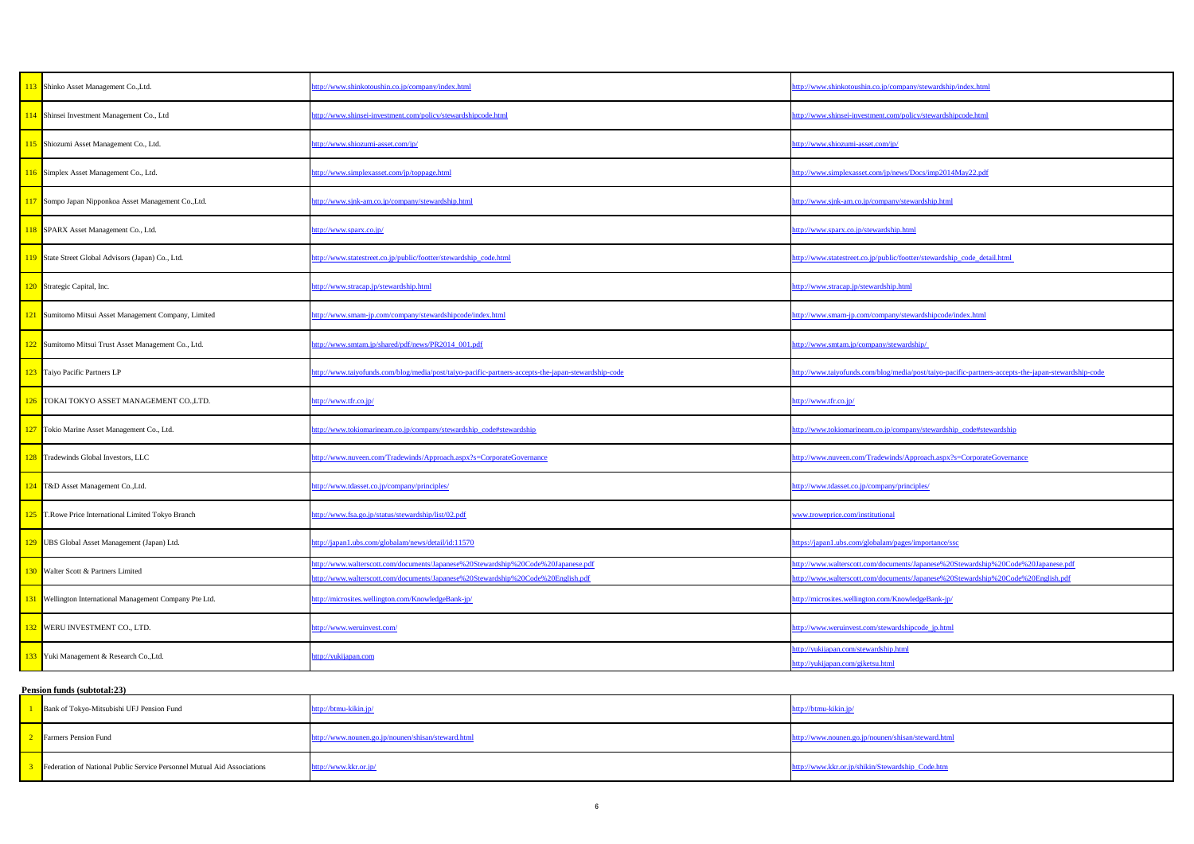| http://www.shinkotoushin.co.jp/company/index.html                                                                                                                     | http://www.shinkotoushin.co.jp/company/stewardship/index.html                                                                                                         |  |
|-----------------------------------------------------------------------------------------------------------------------------------------------------------------------|-----------------------------------------------------------------------------------------------------------------------------------------------------------------------|--|
| http://www.shinsei-investment.com/policy/stewardshipcode.html                                                                                                         | http://www.shinsei-investment.com/policy/stewardshipcode.html                                                                                                         |  |
| http://www.shiozumi-asset.com/jp/                                                                                                                                     | http://www.shiozumi-asset.com/jp/                                                                                                                                     |  |
| http://www.simplexasset.com/jp/toppage.html                                                                                                                           | http://www.simplexasset.com/jp/news/Docs/imp2014May22.pdf                                                                                                             |  |
| http://www.sjnk-am.co.jp/company/stewardship.html                                                                                                                     | http://www.sjnk-am.co.jp/company/stewardship.html                                                                                                                     |  |
| http://www.sparx.co.jp/                                                                                                                                               | http://www.sparx.co.jp/stewardship.html                                                                                                                               |  |
| http://www.statestreet.co.jp/public/footter/stewardship_code.html                                                                                                     | http://www.statestreet.co.jp/public/footter/stewardship_code_detail.html                                                                                              |  |
| http://www.stracap.jp/stewardship.html                                                                                                                                | http://www.stracap.jp/stewardship.html                                                                                                                                |  |
| http://www.smam-jp.com/company/stewardshipcode/index.html                                                                                                             | http://www.smam-jp.com/company/stewardshipcode/index.html                                                                                                             |  |
| http://www.smtam.jp/shared/pdf/news/PR2014_001.pdf                                                                                                                    | http://www.smtam.jp/company/stewardship/                                                                                                                              |  |
| http://www.taiyofunds.com/blog/media/post/taiyo-pacific-partners-accepts-the-japan-stewardship-code                                                                   | http://www.taiyofunds.com/blog/media/post/taiyo-pacific-partners-accepts-the-japan-stewardship-code                                                                   |  |
| http://www.tfr.co.jp/                                                                                                                                                 | http://www.tfr.co.jp/                                                                                                                                                 |  |
| http://www.tokiomarineam.co.jp/company/stewardship_code#stewardship                                                                                                   | http://www.tokiomarineam.co.jp/company/stewardship_code#stewardship                                                                                                   |  |
| http://www.nuveen.com/Tradewinds/Approach.aspx?s=CorporateGovernance                                                                                                  | http://www.nuveen.com/Tradewinds/Approach.aspx?s=CorporateGovernance                                                                                                  |  |
| http://www.tdasset.co.jp/company/principles/                                                                                                                          | http://www.tdasset.co.jp/company/principles/                                                                                                                          |  |
| http://www.fsa.go.jp/status/stewardship/list/02.pdf                                                                                                                   | www.troweprice.com/institutional                                                                                                                                      |  |
| http://japan1.ubs.com/globalam/news/detail/id:11570                                                                                                                   | https://japan1.ubs.com/globalam/pages/importance/ssc                                                                                                                  |  |
| http://www.walterscott.com/documents/Japanese%20Stewardship%20Code%20Japanese.pdf<br>http://www.walterscott.com/documents/Japanese%20Stewardship%20Code%20English.pdf | http://www.walterscott.com/documents/Japanese%20Stewardship%20Code%20Japanese.pdf<br>http://www.walterscott.com/documents/Japanese%20Stewardship%20Code%20English.pdf |  |
| http://microsites.wellington.com/KnowledgeBank-jp/                                                                                                                    | http://microsites.wellington.com/KnowledgeBank-jp/                                                                                                                    |  |
| http://www.weruinvest.com/                                                                                                                                            | http://www.weruinvest.com/stewardshipcode_jp.html                                                                                                                     |  |
| http://yukijapan.com                                                                                                                                                  | http://yukijapan.com/stewardship.html<br>http://yukijapan.com/giketsu.html                                                                                            |  |
|                                                                                                                                                                       |                                                                                                                                                                       |  |

| <b>Bank of Tokyo-Mitsubishi UFJ Pension Fund</b>                               | http://btmu-kikin.jp/                              | http://btmu-kikin.jp/                              |
|--------------------------------------------------------------------------------|----------------------------------------------------|----------------------------------------------------|
| <b>Farmers Pension Fund</b>                                                    | http://www.nounen.go.jp/nounen/shisan/steward.html | http://www.nounen.go.jp/nounen/shisan/steward.html |
| <b>Federation of National Public Service Personnel Mutual Aid Associations</b> | http://www.kkr.or.jp/                              | http://www.kkr.or.jp/shikin/Stewardship_Code.htm   |

| 113 Shinko Asset Management Co., Ltd.                    | http://www.shinkotoushin.co.jp/company/index.html                                                                                                                     | http://www.shinkotoushin.co.jp/company/stewardship/index.html                                                                                                         |
|----------------------------------------------------------|-----------------------------------------------------------------------------------------------------------------------------------------------------------------------|-----------------------------------------------------------------------------------------------------------------------------------------------------------------------|
| 114 Shinsei Investment Management Co., Ltd               | http://www.shinsei-investment.com/policy/stewardshipcode.html                                                                                                         | http://www.shinsei-investment.com/policy/stewardshipcode.html                                                                                                         |
| 115 Shiozumi Asset Management Co., Ltd.                  | nttp://www.shiozumi-asset.com/jp/                                                                                                                                     | http://www.shiozumi-asset.com/jp/                                                                                                                                     |
| 116 Simplex Asset Management Co., Ltd.                   | http://www.simplexasset.com/jp/toppage.html                                                                                                                           | http://www.simplexasset.com/jp/news/Docs/imp2014May22.pdf                                                                                                             |
| 117 Sompo Japan Nipponkoa Asset Management Co., Ltd.     | http://www.sjnk-am.co.jp/company/stewardship.html                                                                                                                     | http://www.sjnk-am.co.jp/company/stewardship.html                                                                                                                     |
| 118 SPARX Asset Management Co., Ltd.                     | http://www.sparx.co.jp/                                                                                                                                               | http://www.sparx.co.jp/stewardship.html                                                                                                                               |
| 119 State Street Global Advisors (Japan) Co., Ltd.       | http://www.statestreet.co.jp/public/footter/stewardship_code.html                                                                                                     | http://www.statestreet.co.jp/public/footter/stewardship_code_detail.html                                                                                              |
| 120 Strategic Capital, Inc.                              | http://www.stracap.jp/stewardship.html                                                                                                                                | http://www.stracap.jp/stewardship.html                                                                                                                                |
| 121 Sumitomo Mitsui Asset Management Company, Limited    | http://www.smam-jp.com/company/stewardshipcode/index.html                                                                                                             | http://www.smam-jp.com/company/stewardshipcode/index.html                                                                                                             |
| 122 Sumitomo Mitsui Trust Asset Management Co., Ltd.     | http://www.smtam.jp/shared/pdf/news/PR2014_001.pdf                                                                                                                    | http://www.smtam.jp/company/stewardship/                                                                                                                              |
| 123 Taiyo Pacific Partners LP                            | http://www.taiyofunds.com/blog/media/post/taiyo-pacific-partners-accepts-the-japan-stewardship-code                                                                   | http://www.taiyofunds.com/blog/media/post/taiyo-pacific-partners-accepts-the-japan-stewardship-code                                                                   |
| 126 TOKAI TOKYO ASSET MANAGEMENT CO.,LTD.                | http://www.tfr.co.jp/                                                                                                                                                 | http://www.tfr.co.jp/                                                                                                                                                 |
| 127 Tokio Marine Asset Management Co., Ltd.              | http://www.tokiomarineam.co.jp/company/stewardship_code#stewardship                                                                                                   | http://www.tokiomarineam.co.jp/company/stewardship_code#stewardship                                                                                                   |
| 128 Tradewinds Global Investors, LLC                     | http://www.nuveen.com/Tradewinds/Approach.aspx?s=CorporateGovernance                                                                                                  | http://www.nuveen.com/Tradewinds/Approach.aspx?s=CorporateGovernance                                                                                                  |
| 124 T&D Asset Management Co., Ltd.                       | http://www.tdasset.co.jp/company/principles/                                                                                                                          | http://www.tdasset.co.jp/company/principles/                                                                                                                          |
| 125 T.Rowe Price International Limited Tokyo Branch      | http://www.fsa.go.jp/status/stewardship/list/02.pdf                                                                                                                   | www.troweprice.com/institutional                                                                                                                                      |
| 129 UBS Global Asset Management (Japan) Ltd.             | http://japan1.ubs.com/globalam/news/detail/id:11570                                                                                                                   | https://japan1.ubs.com/globalam/pages/importance/ssc                                                                                                                  |
| 130 Walter Scott & Partners Limited                      | http://www.walterscott.com/documents/Japanese%20Stewardship%20Code%20Japanese.pdf<br>http://www.walterscott.com/documents/Japanese%20Stewardship%20Code%20English.pdf | http://www.walterscott.com/documents/Japanese%20Stewardship%20Code%20Japanese.pdf<br>http://www.walterscott.com/documents/Japanese%20Stewardship%20Code%20English.pdf |
| 131 Wellington International Management Company Pte Ltd. | http://microsites.wellington.com/KnowledgeBank-jp/                                                                                                                    | http://microsites.wellington.com/KnowledgeBank-jp/                                                                                                                    |
| 132 WERU INVESTMENT CO., LTD.                            | http://www.weruinvest.com/                                                                                                                                            | http://www.weruinvest.com/stewardshipcode_jp.html                                                                                                                     |
| 133 Yuki Management & Research Co., Ltd.                 | http://yukijapan.com                                                                                                                                                  | http://yukijapan.com/stewardship.html<br>http://yukijapan.com/giketsu.html                                                                                            |
|                                                          |                                                                                                                                                                       |                                                                                                                                                                       |

## **Pension funds (subtotal:23)**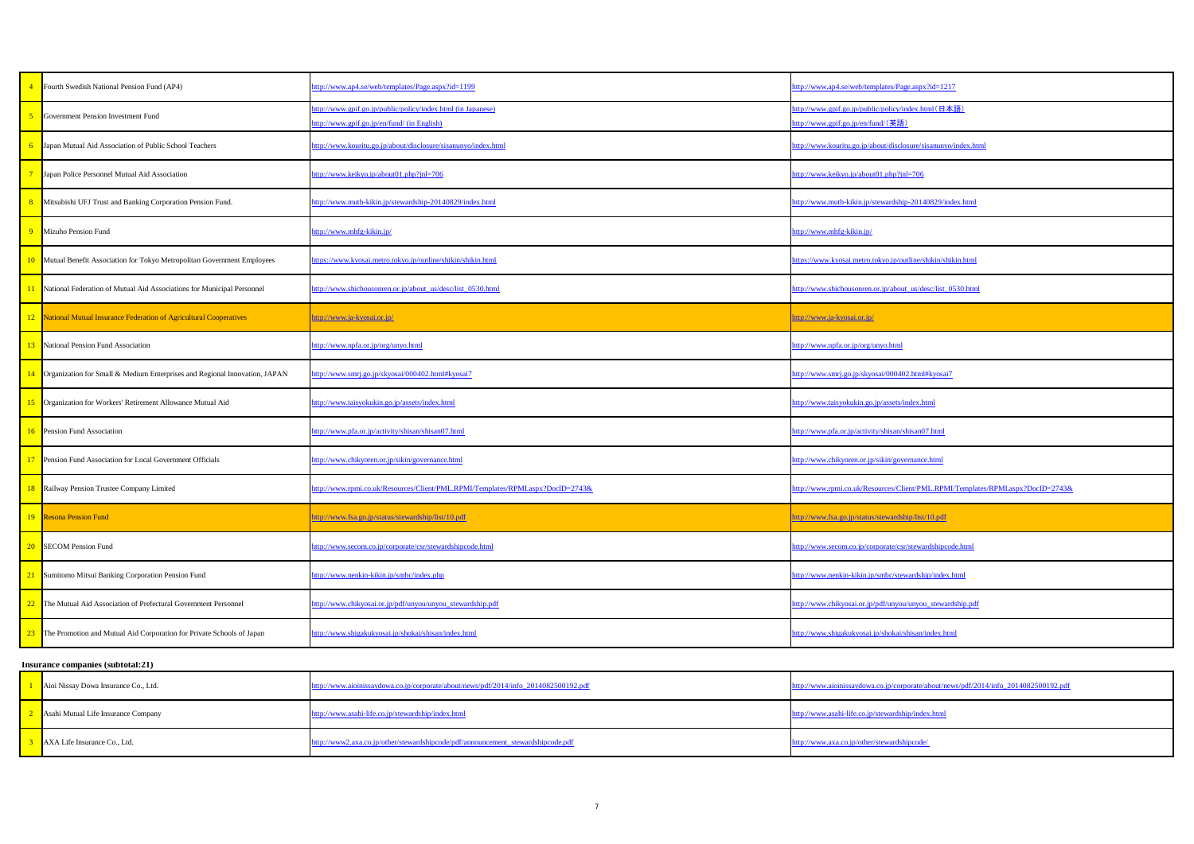|                       | http://www.ap4.se/web/templates/Page.aspx?id=1217                                         |
|-----------------------|-------------------------------------------------------------------------------------------|
|                       | http://www.gpif.go.jp/public/policy/index.html(日本語)<br>http://www.gpif.go.jp/en/fund/(英語) |
|                       | http://www.kouritu.go.jp/about/disclosure/sisanunyo/index.html                            |
|                       | http://www.keikyo.jp/about01.php?jnl=706                                                  |
|                       | http://www.mutb-kikin.jp/stewardship-20140829/index.html                                  |
|                       | http://www.mhfg-kikin.jp/                                                                 |
|                       | https://www.kyosai.metro.tokyo.jp/outline/shikin/shikin.html                              |
|                       | http://www.shichousonren.or.jp/about_us/desc/list_0530.html                               |
|                       | http://www.ja-kyosai.or.jp/                                                               |
|                       | http://www.npfa.or.jp/org/unyo.html                                                       |
|                       | http://www.smrj.go.jp/skyosai/000402.html#kyosai7                                         |
|                       | http://www.taisyokukin.go.jp/assets/index.html                                            |
|                       | http://www.pfa.or.jp/activity/shisan/shisan07.html                                        |
|                       | http://www.chikyoren.or.jp/sikin/governance.html                                          |
| RPMI.aspx?DocID=2743& | http://www.rpmi.co.uk/Resources/Client/PML.RPMI/Templates/RPMI.aspx?DocID=2743&           |
|                       | http://www.fsa.go.jp/status/stewardship/list/10.pdf                                       |
|                       | http://www.secom.co.jp/corporate/csr/stewardshipcode.html                                 |
|                       | http://www.nenkin-kikin.jp/smbc/stewardship/index.html                                    |
|                       | http://www.chikyosai.or.jp/pdf/unyou/unyou_stewardship.pdf                                |
|                       | http://www.shigakukyosai.jp/shokai/shisan/index.html                                      |
|                       |                                                                                           |

| Aioi Nissay Dowa Insurance Co., Ltd. | http://www.aioinissaydowa.co.jp/corporate/about/news/pdf/2014/info_2014082500192.pdf | http://www.aioinissaydowa.co.jp/corporate/about/news/pdf/2014/info_2014082500192.pdf |
|--------------------------------------|--------------------------------------------------------------------------------------|--------------------------------------------------------------------------------------|
| Asahi Mutual Life Insurance Company  | http://www.asahi-life.co.jp/stewardship/index.html                                   | http://www.asahi-life.co.jp/stewardship/index.html                                   |
| AXA Life Insurance Co., Ltd.         | http://www2.axa.co.jp/other/stewardshipcode/pdf/announcement_stewardshipcode.pdf     | http://www.axa.co.jp/other/stewardshipcode/                                          |

|                 | Fourth Swedish National Pension Fund (AP4)                                  | http://www.ap4.se/web/templates/Page.aspx?id=1199                                                          | http://www.ap4.se/web/templates/Page.aspx?id=1217                                         |
|-----------------|-----------------------------------------------------------------------------|------------------------------------------------------------------------------------------------------------|-------------------------------------------------------------------------------------------|
|                 | Government Pension Investment Fund                                          | ttp://www.gpif.go.jp/public/policy/index.html (in Japanese)<br>http://www.gpif.go.jp/en/fund/ (in English) | http://www.gpif.go.jp/public/policy/index.html(日本語)<br>http://www.gpif.go.jp/en/fund/(英語) |
| $6\overline{6}$ | Japan Mutual Aid Association of Public School Teachers                      | ttp://www.kouritu.go.jp/about/disclosure/sisanunyo/index.html                                              | http://www.kouritu.go.jp/about/disclosure/sisanunyo/index.html                            |
|                 | Japan Police Personnel Mutual Aid Association                               | http://www.keikyo.jp/about01.php?jnl=706                                                                   | http://www.keikyo.jp/about01.php?jnl=706                                                  |
| 8               | Mitsubishi UFJ Trust and Banking Corporation Pension Fund.                  | ttp://www.mutb-kikin.jp/stewardship-20140829/index.html                                                    | http://www.mutb-kikin.jp/stewardship-20140829/index.html                                  |
| $\overline{9}$  | Mizuho Pension Fund                                                         | http://www.mhfg-kikin.jp/                                                                                  | http://www.mhfg-kikin.jp/                                                                 |
|                 | 10 Mutual Benefit Association for Tokyo Metropolitan Government Employees   | https://www.kyosai.metro.tokyo.jp/outline/shikin/shikin.html                                               | https://www.kyosai.metro.tokyo.jp/outline/shikin/shikin.html                              |
|                 | 11 National Federation of Mutual Aid Associations for Municipal Personnel   | http://www.shichousonren.or.jp/about_us/desc/list_0530.html                                                | http://www.shichousonren.or.jp/about_us/desc/list_0530.html                               |
|                 | <b>12</b> National Mutual Insurance Federation of Agricultural Cooperatives | ttp://www.ja-kyosai.or.jp/                                                                                 | http://www.ja-kyosai.or.jp/                                                               |
| $\overline{13}$ | National Pension Fund Association                                           | ttp://www.npfa.or.jp/org/unyo.html                                                                         | http://www.npfa.or.jp/org/unyo.html                                                       |
| $-14$           | Organization for Small & Medium Enterprises and Regional Innovation, JAPAN  | http://www.smrj.go.jp/skyosai/000402.html#kyosai7                                                          | http://www.smrj.go.jp/skyosai/000402.html#kyosai7                                         |
| 15              | Organization for Workers' Retirement Allowance Mutual Aid                   | http://www.taisyokukin.go.jp/assets/index.html                                                             | http://www.taisyokukin.go.jp/assets/index.html                                            |
| $-16$           | <b>Pension Fund Association</b>                                             | ttp://www.pfa.or.jp/activity/shisan/shisan07.html                                                          | http://www.pfa.or.jp/activity/shisan/shisan07.html                                        |
| 17              | <b>Pension Fund Association for Local Government Officials</b>              | http://www.chikyoren.or.jp/sikin/governance.html                                                           | http://www.chikyoren.or.jp/sikin/governance.html                                          |
|                 | <b>18</b> Railway Pension Trustee Company Limited                           | http://www.rpmi.co.uk/Resources/Client/PML.RPMI/Templates/RPMI.aspx?DocID=2743&                            | http://www.rpmi.co.uk/Resources/Client/PML.RPMI/Templates/RPMI.aspx?DocID=2743&           |
|                 | <b>19</b> Resona Pension Fund                                               | http://www.fsa.go.jp/status/stewardship/list/10.pdf                                                        | http://www.fsa.go.jp/status/stewardship/list/10.pdf                                       |
| <b>20</b>       | <b>SECOM</b> Pension Fund                                                   | ttp://www.secom.co.jp/corporate/csr/stewardshipcode.html                                                   | http://www.secom.co.jp/corporate/csr/stewardshipcode.html                                 |
| $\sqrt{21}$     | Sumitomo Mitsui Banking Corporation Pension Fund                            | ttp://www.nenkin-kikin.jp/smbc/index.php                                                                   | http://www.nenkin-kikin.jp/smbc/stewardship/index.html                                    |
| 22              | The Mutual Aid Association of Prefectural Government Personnel              | http://www.chikyosai.or.jp/pdf/unyou/unyou_stewardship.pdf                                                 | http://www.chikyosai.or.jp/pdf/unyou/unyou_stewardship.pdf                                |
| 23              | The Promotion and Mutual Aid Corporation for Private Schools of Japan       | http://www.shigakukyosai.jp/shokai/shisan/index.html                                                       | http://www.shigakukyosai.jp/shokai/shisan/index.html                                      |
|                 |                                                                             |                                                                                                            |                                                                                           |

#### **Insurance companies (subtotal:21)**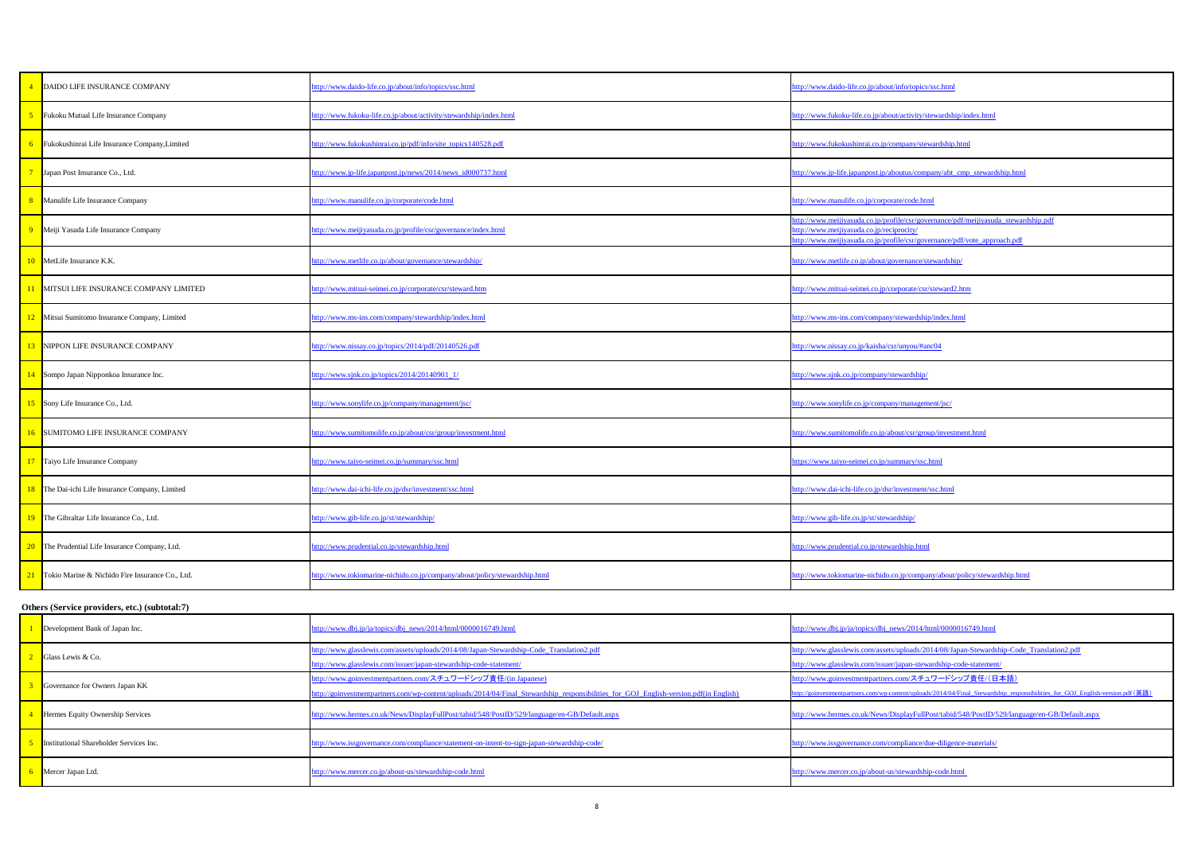|    | DAIDO LIFE INSURANCE COMPANY                    | http://www.daido-life.co.jp/about/info/topics/ssc.html                     | http://www.daido-life.co.jp/about/info/topics/ssc.html                                                                                                                                                      |
|----|-------------------------------------------------|----------------------------------------------------------------------------|-------------------------------------------------------------------------------------------------------------------------------------------------------------------------------------------------------------|
|    | Fukoku Mutual Life Insurance Company            | http://www.fukoku-life.co.jp/about/activity/stewardship/index.html         | http://www.fukoku-life.co.jp/about/activity/stewardship/index.html                                                                                                                                          |
|    | Fukokushinrai Life Insurance Company, Limited   | http://www.fukokushinrai.co.jp/pdf/info/site_topics140528.pdf              | ttp://www.fukokushinrai.co.jp/company/stewardship.html                                                                                                                                                      |
|    | Japan Post Insurance Co., Ltd.                  | http://www.jp-life.japanpost.jp/news/2014/news_id000737.html               | http://www.jp-life.japanpost.jp/aboutus/company/abt_cmp_stewardship.html                                                                                                                                    |
|    | Manulife Life Insurance Company                 | http://www.manulife.co.jp/corporate/code.html                              | <u>nttp://www.manulife.co.jp/corporate/code.html</u>                                                                                                                                                        |
|    | Meiji Yasuda Life Insurance Company             | http://www.meijiyasuda.co.jp/profile/csr/governance/index.html             | ttp://www.meijiyasuda.co.jp/profile/csr/governance/pdf/meijiyasuda_stewardship.pdf<br>ttp://www.meijiyasuda.co.jp/reciprocity/<br>http://www.meijiyasuda.co.jp/profile/csr/governance/pdf/vote_approach.pdf |
|    | MetLife Insurance K.K.                          | http://www.metlife.co.jp/about/governance/stewardship/                     | ttp://www.metlife.co.jp/about/governance/stewardship/                                                                                                                                                       |
|    | MITSUI LIFE INSURANCE COMPANY LIMITED           | http://www.mitsui-seimei.co.jp/corporate/csr/steward.htm                   | http://www.mitsui-seimei.co.jp/corporate/csr/steward2.htm                                                                                                                                                   |
|    | Mitsui Sumitomo Insurance Company, Limited      | http://www.ms-ins.com/company/stewardship/index.html                       | http://www.ms-ins.com/company/stewardship/index.html                                                                                                                                                        |
|    | NIPPON LIFE INSURANCE COMPANY                   | http://www.nissay.co.jp/topics/2014/pdf/20140526.pdf                       | http://www.nissay.co.jp/kaisha/csr/unyou/#anc04                                                                                                                                                             |
| 14 | Sompo Japan Nipponkoa Insurance Inc.            | http://www.sjnk.co.jp/topics/2014/20140901_1/                              | http://www.sjnk.co.jp/company/stewardship/                                                                                                                                                                  |
|    | Sony Life Insurance Co., Ltd.                   | http://www.sonylife.co.jp/company/management/jsc/                          | http://www.sonylife.co.jp/company/management/jsc/                                                                                                                                                           |
|    | SUMITOMO LIFE INSURANCE COMPANY                 | http://www.sumitomolife.co.jp/about/csr/group/investment.html              | http://www.sumitomolife.co.jp/about/csr/group/investment.html                                                                                                                                               |
|    | Taiyo Life Insurance Company                    | http://www.taiyo-seimei.co.jp/summary/ssc.html                             | ttps://www.taiyo-seimei.co.jp/summary/ssc.html                                                                                                                                                              |
|    | The Dai-ichi Life Insurance Company, Limited    | http://www.dai-ichi-life.co.jp/dsr/investment/ssc.html                     | ttp://www.dai-ichi-life.co.jp/dsr/investment/ssc.html                                                                                                                                                       |
|    | The Gibraltar Life Insurance Co., Ltd.          | http://www.gib-life.co.jp/st/stewardship/                                  | http://www.gib-life.co.jp/st/stewardship/                                                                                                                                                                   |
| 20 | The Prudential Life Insurance Company, Ltd.     | http://www.prudential.co.jp/stewardship.html                               | http://www.prudential.co.jp/stewardship.html                                                                                                                                                                |
|    | Tokio Marine & Nichido Fire Insurance Co., Ltd. | http://www.tokiomarine-nichido.co.jp/company/about/policy/stewardship.html | http://www.tokiomarine-nichido.co.jp/company/about/policy/stewardship.html                                                                                                                                  |

| Development Bank of Japan Inc.                 | http://www.dbj.jp/ja/topics/dbj_news/2014/html/0000016749.html                                                                                                                                                | http://www.dbj.jp/ja/topics/dbj_news/2014/html/0000016749.html                                                                                                                          |
|------------------------------------------------|---------------------------------------------------------------------------------------------------------------------------------------------------------------------------------------------------------------|-----------------------------------------------------------------------------------------------------------------------------------------------------------------------------------------|
| Glass Lewis & Co.                              | http://www.glasslewis.com/assets/uploads/2014/08/Japan-Stewardship-Code_Translation2.pdf<br>http://www.glasslewis.com/issuer/japan-stewardship-code-statement/                                                | http://www.glasslewis.com/assets/uploads/2014/08/Japan-Stewardship-Code_Translation2.pdf<br>http://www.glasslewis.com/issuer/japan-stewardship-code-statement/                          |
| Governance for Owners Japan KK                 | <u>nttp://www.goinvestmentpartners.com/スチュワードシップ責任/(in Japanese)</u><br>http://goinvestmentpartners.com/wp-content/uploads/2014/04/Final_Stewardship_responsibilities_for_GOJ_English-version.pdf(in English) | http://www.goinvestmentpartners.com/スチュワードシップ責任/(日本語)<br>http://goinvestmentpartners.com/wp-content/uploads/2014/04/Final Stewardship responsibilities for GOJ English-version.pdf (英語) |
| Hermes Equity Ownership Services               | nttp://www.hermes.co.uk/News/DisplayFullPost/tabid/548/PostID/529/language/en-GB/Default.aspx                                                                                                                 | http://www.hermes.co.uk/News/DisplayFullPost/tabid/548/PostID/529/language/en-GB/Default.aspx                                                                                           |
| <b>Institutional Shareholder Services Inc.</b> | nttp://www.issgovernance.com/compliance/statement-on-intent-to-sign-japan-stewardship-code/                                                                                                                   | http://www.issgovernance.com/compliance/due-diligence-materials/                                                                                                                        |
| Mercer Japan Ltd.                              | ttp://www.mercer.co.jp/about-us/stewardship-code.html                                                                                                                                                         | http://www.mercer.co.jp/about-us/stewardship-code.html                                                                                                                                  |

## **Others (Service providers, etc.) (subtotal:7)**